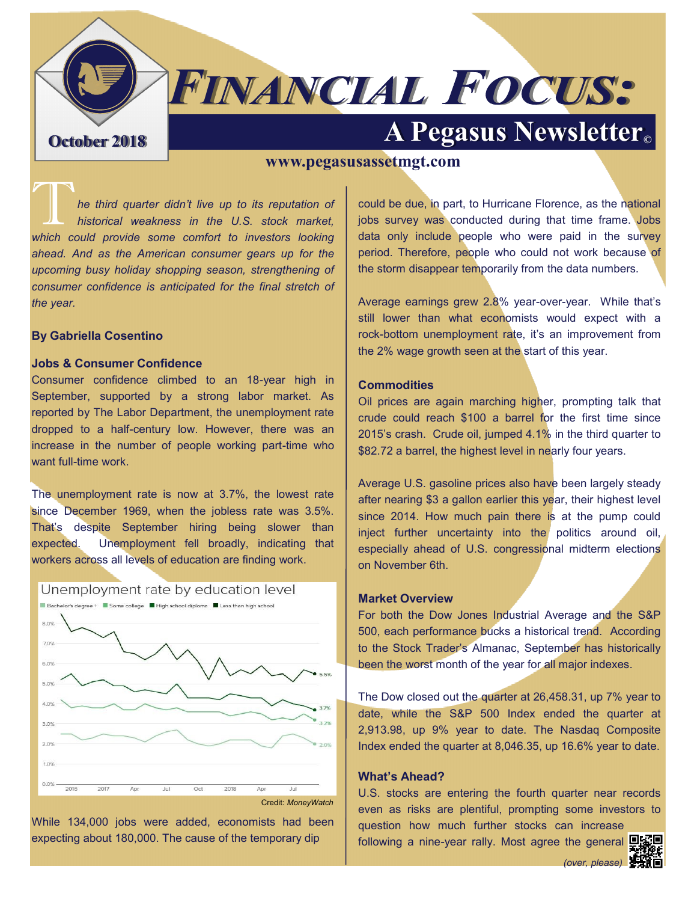# **FINANCIAL FOCUS:**

# **A Pegasus Newsletter October 2018**

### **www.pegasusassetmgt.com**

T*he third quarter didn't live up to its reputation of historical weakness in the U.S. stock market, which could provide some comfort to investors looking ahead. And as the American consumer gears up for the upcoming busy holiday shopping season, strengthening of consumer confidence is anticipated for the final stretch of the year.*

#### **By Gabriella Cosentino**

#### **Jobs & Consumer Confidence**

Consumer confidence climbed to an 18-year high in September, supported by a strong labor market. As reported by The Labor Department, the unemployment rate dropped to a half-century low. However, there was an increase in the number of people working part-time who want full-time work.

The unemployment rate is now at 3.7%, the lowest rate since December 1969, when the jobless rate was 3.5%. That's despite September hiring being slower than expected. Unemployment fell broadly, indicating that workers across all levels of education are finding work.



While 134,000 jobs were added, economists had been expecting about 180,000. The cause of the temporary dip

could be due, in part, to Hurricane Florence, as the national jobs survey was conducted during that time frame. Jobs data only include people who were paid in the survey period. Therefore, people who could not work because of the storm disappear temporarily from the data numbers.

Average earnings grew 2.8% year-over-year. While that's still lower than what economists would expect with a rock-bottom unemployment rate, it's an improvement from the 2% wage growth seen at the start of this year.

#### **Commodities**

Oil prices are again marching higher, prompting talk that crude could reach \$100 a barrel for the first time since 2015's crash. Crude oil, jumped 4.1% in the third quarter to \$82.72 a barrel, the highest level in nearly four years.

Average U.S. gasoline prices also have been largely steady after nearing \$3 a gallon earlier this year, their highest level since 2014. How much pain there is at the pump could inject further uncertainty into the politics around oil, especially ahead of U.S. congressional midterm elections on November 6th.

#### **Market Overview**

For both the Dow Jones Industrial Average and the S&P 500, each performance bucks a historical trend. According to the Stock Trader's Almanac, September has historically been the worst month of the year for all major indexes.

The Dow closed out the quarter at 26,458.31, up 7% year to date, while the S&P 500 Index ended the quarter at 2,913.98, up 9% year to date. The Nasdaq Composite Index ended the quarter at 8,046.35, up 16.6% year to date.

#### **What's Ahead?**

U.S. stocks are entering the fourth quarter near records even as risks are plentiful, prompting some investors to question how much further stocks can increase

following a nine-year rally. Most agree the general